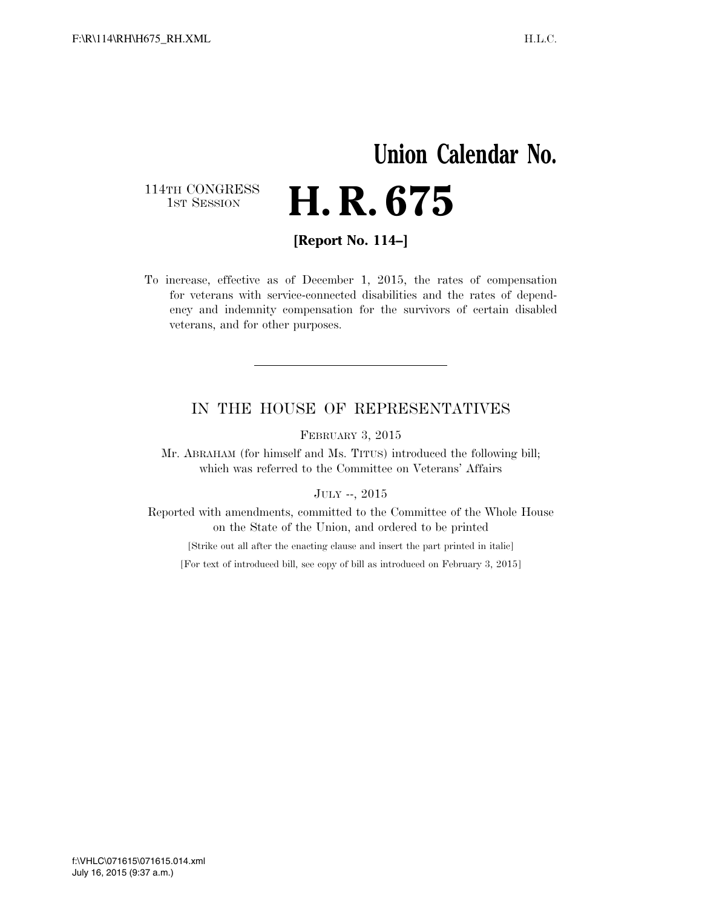## **Union Calendar No.**  114TH CONGRESS<br>1st Session H. R. 675

**[Report No. 114–]** 

To increase, effective as of December 1, 2015, the rates of compensation for veterans with service-connected disabilities and the rates of dependency and indemnity compensation for the survivors of certain disabled veterans, and for other purposes.

### IN THE HOUSE OF REPRESENTATIVES

FEBRUARY 3, 2015

Mr. ABRAHAM (for himself and Ms. TITUS) introduced the following bill; which was referred to the Committee on Veterans' Affairs

JULY --, 2015

Reported with amendments, committed to the Committee of the Whole House on the State of the Union, and ordered to be printed

[Strike out all after the enacting clause and insert the part printed in italic]

[For text of introduced bill, see copy of bill as introduced on February 3, 2015]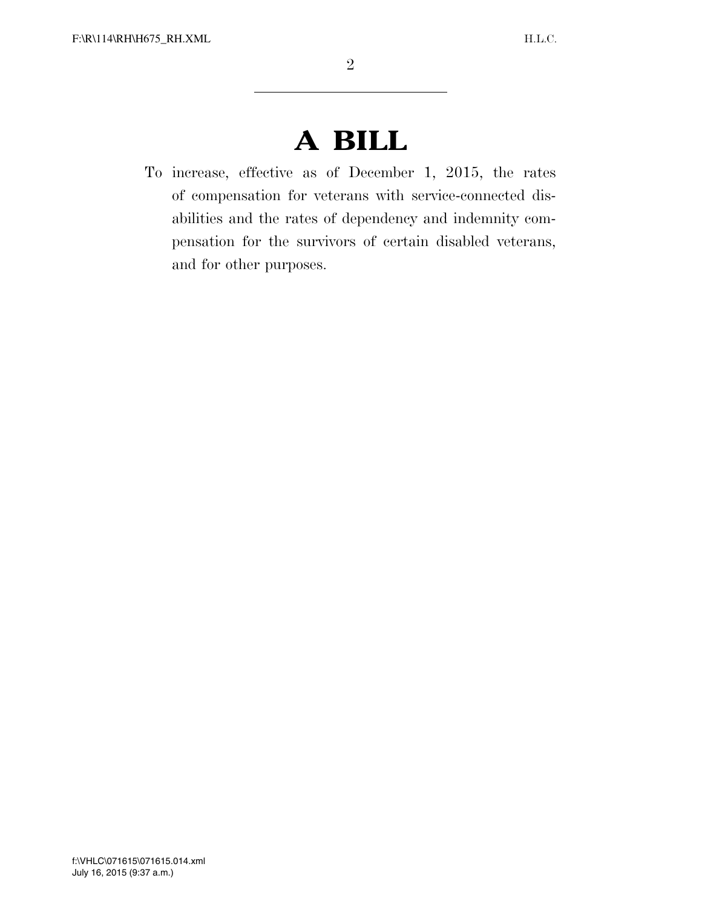# **A BILL**

To increase, effective as of December 1, 2015, the rates of compensation for veterans with service-connected disabilities and the rates of dependency and indemnity compensation for the survivors of certain disabled veterans, and for other purposes.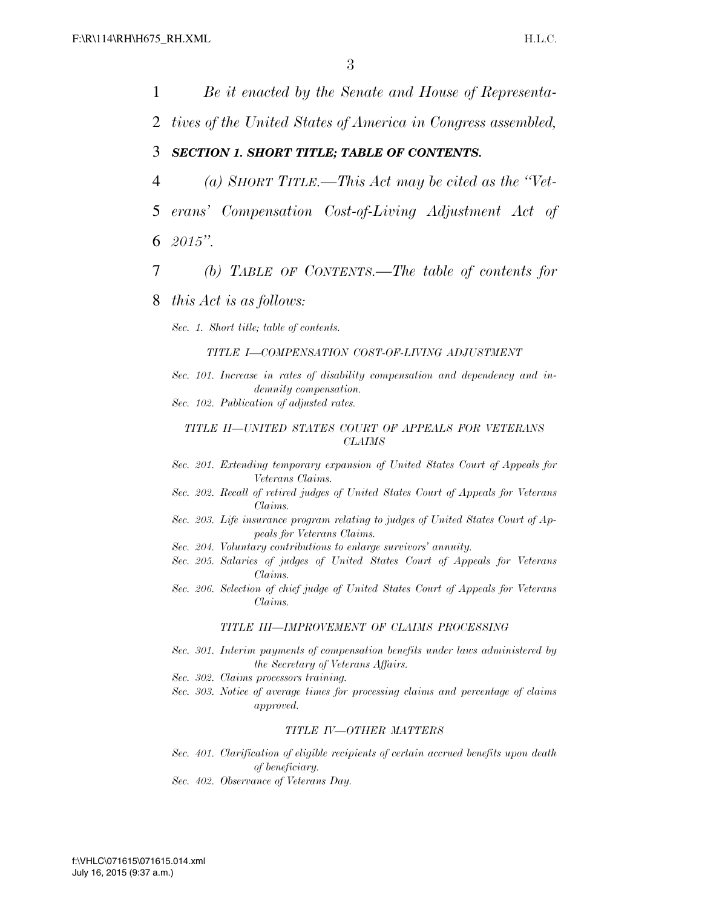1 *Be it enacted by the Senate and House of Representa-*2 *tives of the United States of America in Congress assembled,*  3 *SECTION 1. SHORT TITLE; TABLE OF CONTENTS.*  4 *(a) SHORT TITLE.—This Act may be cited as the ''Vet-*5 *erans' Compensation Cost-of-Living Adjustment Act of*  6 *2015''.*  7 *(b) TABLE OF CONTENTS.—The table of contents for*  8 *this Act is as follows: Sec. 1. Short title; table of contents. TITLE I—COMPENSATION COST-OF-LIVING ADJUSTMENT Sec. 101. Increase in rates of disability compensation and dependency and indemnity compensation. Sec. 102. Publication of adjusted rates. TITLE II—UNITED STATES COURT OF APPEALS FOR VETERANS CLAIMS Sec. 201. Extending temporary expansion of United States Court of Appeals for Veterans Claims. Sec. 202. Recall of retired judges of United States Court of Appeals for Veterans Claims. Sec. 203. Life insurance program relating to judges of United States Court of Appeals for Veterans Claims. Sec. 204. Voluntary contributions to enlarge survivors' annuity. Sec. 205. Salaries of judges of United States Court of Appeals for Veterans Claims. Sec. 206. Selection of chief judge of United States Court of Appeals for Veterans Claims. TITLE III—IMPROVEMENT OF CLAIMS PROCESSING Sec. 301. Interim payments of compensation benefits under laws administered by the Secretary of Veterans Affairs. Sec. 302. Claims processors training. Sec. 303. Notice of average times for processing claims and percentage of claims approved. TITLE IV—OTHER MATTERS Sec. 401. Clarification of eligible recipients of certain accrued benefits upon death of beneficiary. Sec. 402. Observance of Veterans Day.*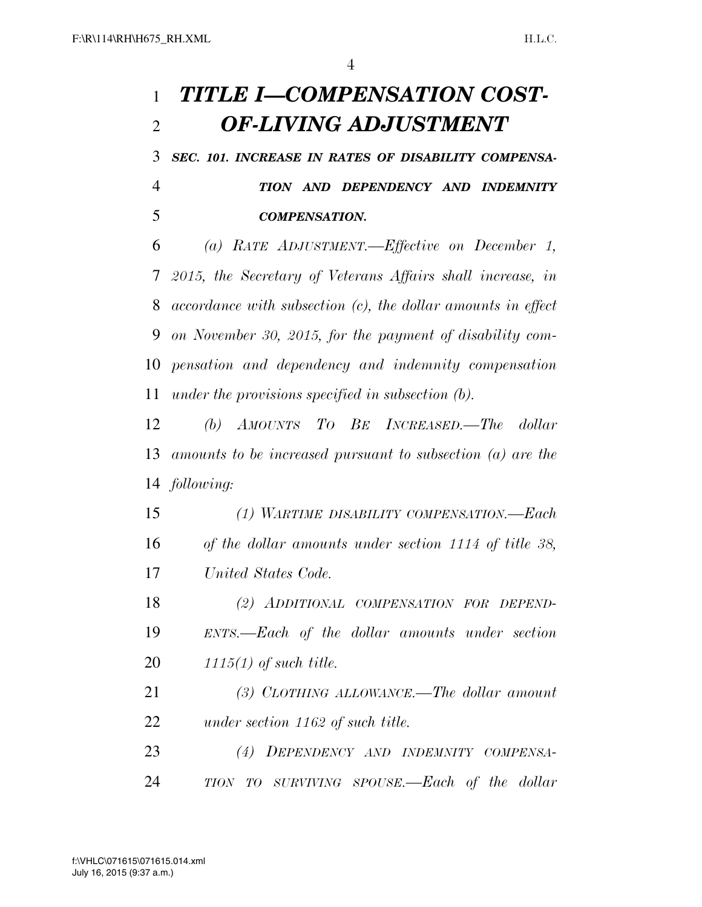## *TITLE I—COMPENSATION COST-OF-LIVING ADJUSTMENT*

 *SEC. 101. INCREASE IN RATES OF DISABILITY COMPENSA- TION AND DEPENDENCY AND INDEMNITY COMPENSATION.* 

 *(a) RATE ADJUSTMENT.—Effective on December 1, 2015, the Secretary of Veterans Affairs shall increase, in accordance with subsection (c), the dollar amounts in effect on November 30, 2015, for the payment of disability com- pensation and dependency and indemnity compensation under the provisions specified in subsection (b).* 

 *(b) AMOUNTS TO BE INCREASED.—The dollar amounts to be increased pursuant to subsection (a) are the following:* 

 *(1) WARTIME DISABILITY COMPENSATION.—Each of the dollar amounts under section 1114 of title 38, United States Code.* 

 *(2) ADDITIONAL COMPENSATION FOR DEPEND- ENTS.—Each of the dollar amounts under section 1115(1) of such title.* 

 *(3) CLOTHING ALLOWANCE.—The dollar amount under section 1162 of such title.* 

 *(4) DEPENDENCY AND INDEMNITY COMPENSA-TION TO SURVIVING SPOUSE.—Each of the dollar*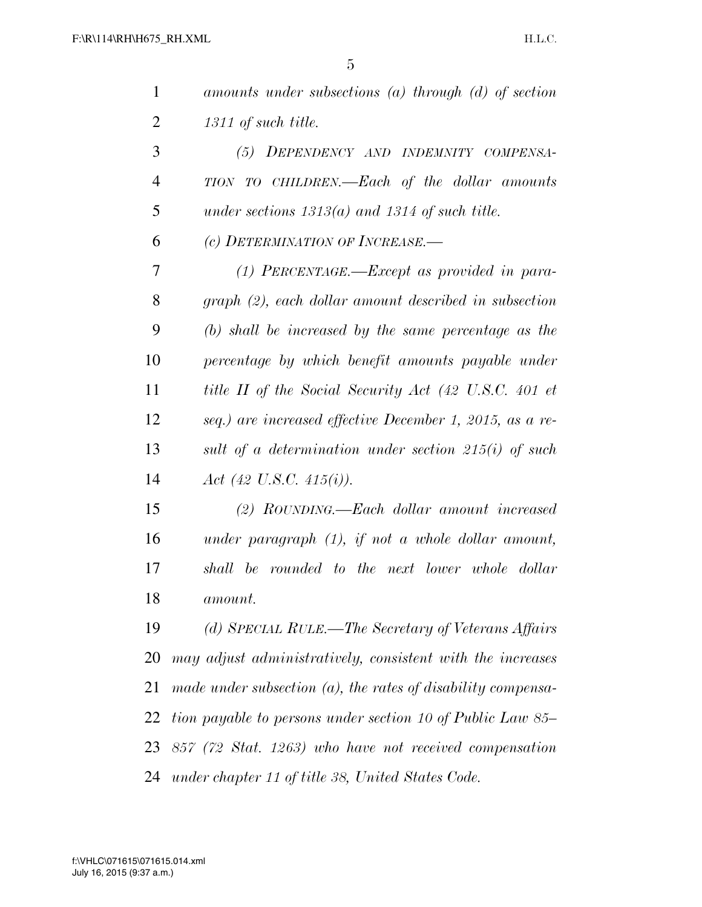| $\mathbf{1}$   | amounts under subsections $(a)$ through $(d)$ of section        |
|----------------|-----------------------------------------------------------------|
| $\overline{2}$ | 1311 of such title.                                             |
| 3              | (5) DEPENDENCY AND INDEMNITY COMPENSA-                          |
| $\overline{4}$ | TION TO CHILDREN.—Each of the dollar amounts                    |
| 5              | under sections $1313(a)$ and $1314$ of such title.              |
| 6              | (c) DETERMINATION OF INCREASE.                                  |
| 7              | $(1)$ PERCENTAGE.—Except as provided in para-                   |
| 8              | graph (2), each dollar amount described in subsection           |
| 9              | $(b)$ shall be increased by the same percentage as the          |
| 10             | percentage by which benefit amounts payable under               |
| 11             | title II of the Social Security Act (42 U.S.C. 401 et           |
| 12             | seq.) are increased effective December 1, 2015, as a re-        |
| 13             | sult of a determination under section $215(i)$ of such          |
| 14             | Act (42 U.S.C. 415(i)).                                         |
| 15             | (2) ROUNDING.—Each dollar amount increased                      |
| 16             | under paragraph $(1)$ , if not a whole dollar amount,           |
| 17             | shall be rounded to the next lower whole dollar                 |
| 18             | amount.                                                         |
| 19             | (d) SPECIAL RULE.—The Secretary of Veterans Affairs             |
| 20             | may adjust administratively, consistent with the increases      |
| 21             | made under subsection $(a)$ , the rates of disability compensa- |
| 22             | tion payable to persons under section 10 of Public Law 85–      |
| 23             | 857 (72 Stat. 1263) who have not received compensation          |
| 24             | under chapter 11 of title 38, United States Code.               |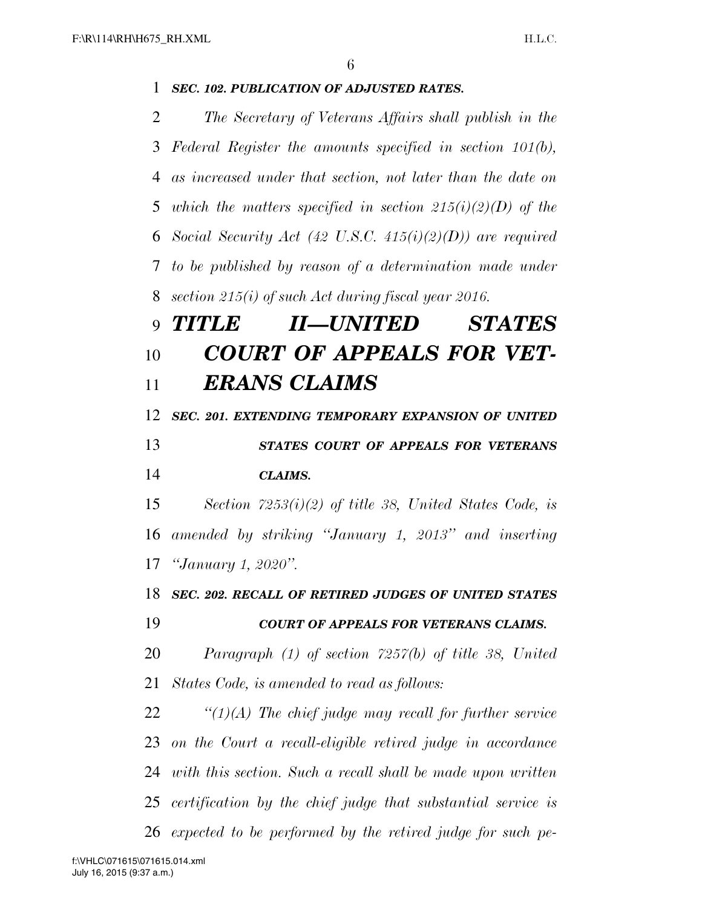## *SEC. 102. PUBLICATION OF ADJUSTED RATES. The Secretary of Veterans Affairs shall publish in the Federal Register the amounts specified in section 101(b), as increased under that section, not later than the date on which the matters specified in section 215(i)(2)(D) of the Social Security Act (42 U.S.C. 415(i)(2)(D)) are required to be published by reason of a determination made under section 215(i) of such Act during fiscal year 2016. TITLE II—UNITED STATES COURT OF APPEALS FOR VET- ERANS CLAIMS SEC. 201. EXTENDING TEMPORARY EXPANSION OF UNITED STATES COURT OF APPEALS FOR VETERANS CLAIMS. Section 7253(i)(2) of title 38, United States Code, is amended by striking ''January 1, 2013'' and inserting ''January 1, 2020''. SEC. 202. RECALL OF RETIRED JUDGES OF UNITED STATES COURT OF APPEALS FOR VETERANS CLAIMS. Paragraph (1) of section 7257(b) of title 38, United States Code, is amended to read as follows: ''(1)(A) The chief judge may recall for further service on the Court a recall-eligible retired judge in accordance with this section. Such a recall shall be made upon written certification by the chief judge that substantial service is*

*expected to be performed by the retired judge for such pe-*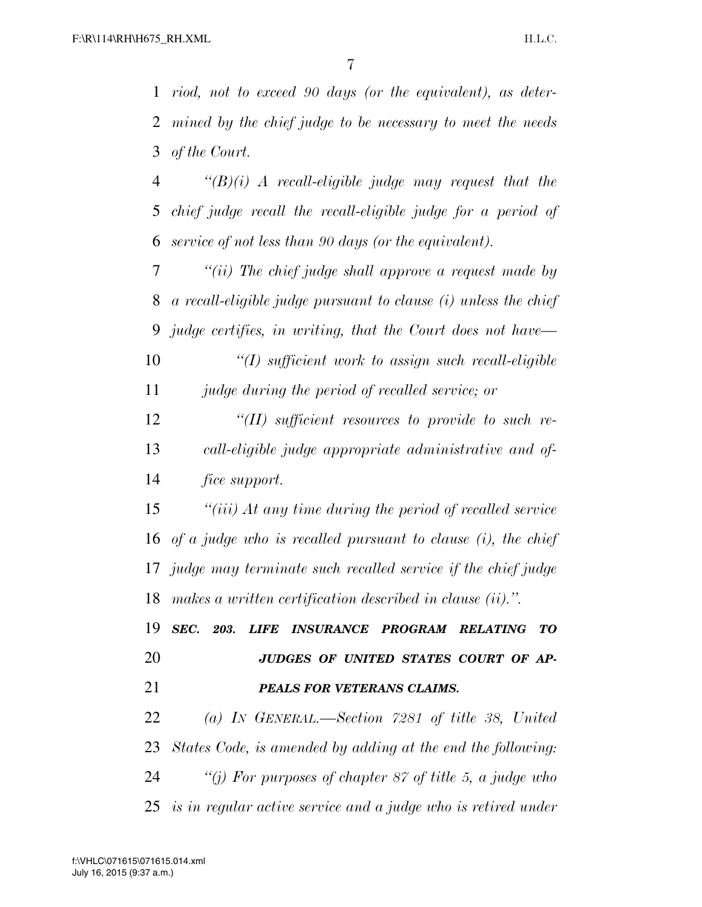*riod, not to exceed 90 days (or the equivalent), as deter- mined by the chief judge to be necessary to meet the needs of the Court.* 

 *''(B)(i) A recall-eligible judge may request that the chief judge recall the recall-eligible judge for a period of service of not less than 90 days (or the equivalent).* 

 *''(ii) The chief judge shall approve a request made by a recall-eligible judge pursuant to clause (i) unless the chief judge certifies, in writing, that the Court does not have—* 

 *''(I) sufficient work to assign such recall-eligible judge during the period of recalled service; or* 

 *''(II) sufficient resources to provide to such re- call-eligible judge appropriate administrative and of-fice support.* 

 *''(iii) At any time during the period of recalled service of a judge who is recalled pursuant to clause (i), the chief judge may terminate such recalled service if the chief judge makes a written certification described in clause (ii).''.* 

 *SEC. 203. LIFE INSURANCE PROGRAM RELATING TO JUDGES OF UNITED STATES COURT OF AP-*

### *PEALS FOR VETERANS CLAIMS.*

 *(a) IN GENERAL.—Section 7281 of title 38, United States Code, is amended by adding at the end the following: ''(j) For purposes of chapter 87 of title 5, a judge who is in regular active service and a judge who is retired under*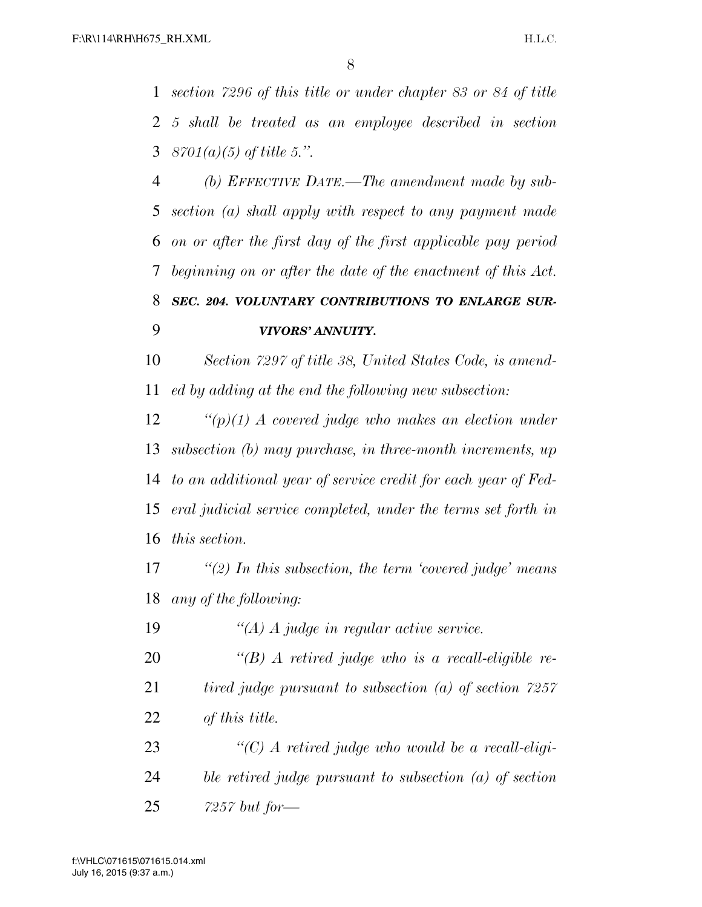*section 7296 of this title or under chapter 83 or 84 of title 5 shall be treated as an employee described in section 8701(a)(5) of title 5.''.* 

 *(b) EFFECTIVE DATE.—The amendment made by sub- section (a) shall apply with respect to any payment made on or after the first day of the first applicable pay period beginning on or after the date of the enactment of this Act. SEC. 204. VOLUNTARY CONTRIBUTIONS TO ENLARGE SUR-VIVORS' ANNUITY.* 

 *Section 7297 of title 38, United States Code, is amend-ed by adding at the end the following new subsection:* 

 *''(p)(1) A covered judge who makes an election under subsection (b) may purchase, in three-month increments, up to an additional year of service credit for each year of Fed- eral judicial service completed, under the terms set forth in this section.* 

 *''(2) In this subsection, the term 'covered judge' means any of the following:* 

*''(A) A judge in regular active service.* 

 *''(B) A retired judge who is a recall-eligible re- tired judge pursuant to subsection (a) of section 7257 of this title.* 

 *''(C) A retired judge who would be a recall-eligi- ble retired judge pursuant to subsection (a) of section 7257 but for—*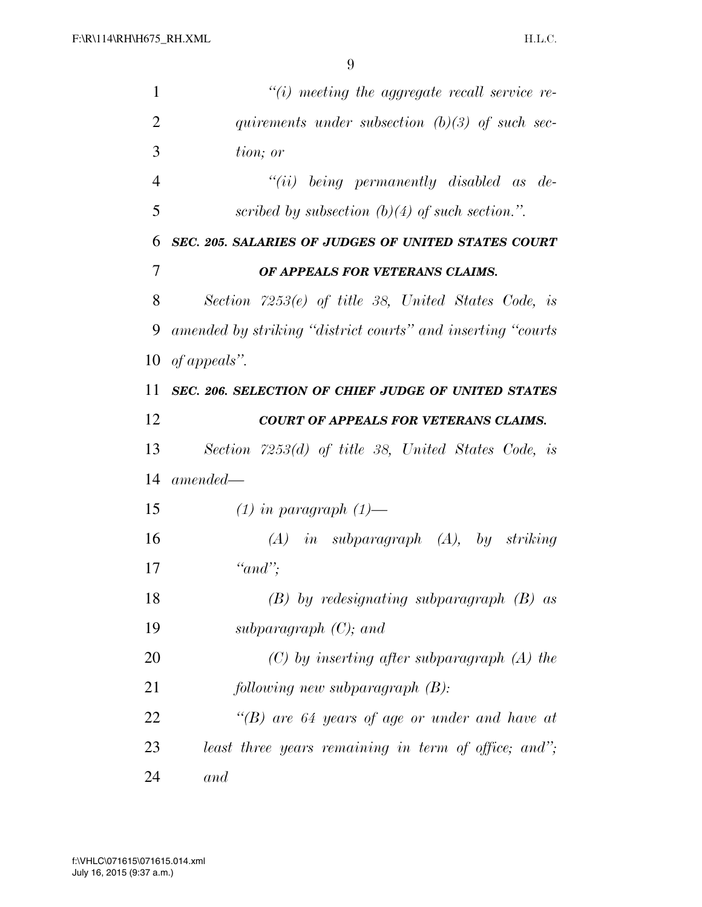| $\mathbf{1}$   | $``(i)$ meeting the aggregate recall service re-             |
|----------------|--------------------------------------------------------------|
| 2              | quirements under subsection $(b)(3)$ of such sec-            |
| 3              | tion; or                                                     |
| $\overline{4}$ | $``(ii)$ being permanently disabled as de-                   |
| 5              | scribed by subsection $(b)(4)$ of such section.".            |
| 6              | SEC. 205. SALARIES OF JUDGES OF UNITED STATES COURT          |
| 7              | OF APPEALS FOR VETERANS CLAIMS.                              |
| 8              | Section $7253(e)$ of title 38, United States Code, is        |
| 9              | amended by striking "district courts" and inserting "courts" |
| 10             | of appeals".                                                 |
| 11             | <b>SEC. 206. SELECTION OF CHIEF JUDGE OF UNITED STATES</b>   |
| 12             | <b>COURT OF APPEALS FOR VETERANS CLAIMS.</b>                 |
| 13             | Section $7253(d)$ of title 38, United States Code, is        |
| 14             | $amended-$                                                   |
| 15             | $(1)$ in paragraph $(1)$ —                                   |
| 16             | $(A)$ in subparagraph $(A)$ , by striking                    |
| 17             | " $and$ ";                                                   |
| 18             | $(B)$ by redesignating subparagraph $(B)$ as                 |
| 19             | subparagraph $(C)$ ; and                                     |
| 20             | $(C)$ by inserting after subparagraph $(A)$ the              |
| 21             | following new subparagraph(B):                               |
| 22             | "(B) are 64 years of age or under and have at                |
| 23             | least three years remaining in term of office; and";         |
| 24             | and                                                          |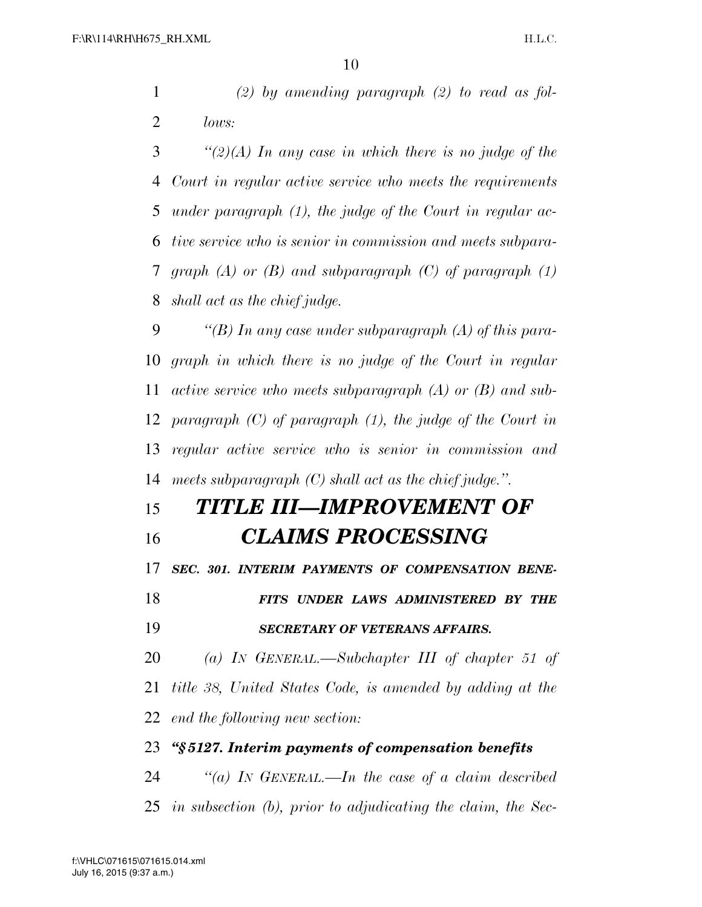*(2) by amending paragraph (2) to read as fol-lows:* 

 *''(2)(A) In any case in which there is no judge of the Court in regular active service who meets the requirements under paragraph (1), the judge of the Court in regular ac- tive service who is senior in commission and meets subpara- graph (A) or (B) and subparagraph (C) of paragraph (1) shall act as the chief judge.* 

 *''(B) In any case under subparagraph (A) of this para- graph in which there is no judge of the Court in regular active service who meets subparagraph (A) or (B) and sub- paragraph (C) of paragraph (1), the judge of the Court in regular active service who is senior in commission and meets subparagraph (C) shall act as the chief judge.''.* 

### *TITLE III—IMPROVEMENT OF CLAIMS PROCESSING*

*SEC. 301. INTERIM PAYMENTS OF COMPENSATION BENE-*

 *FITS UNDER LAWS ADMINISTERED BY THE SECRETARY OF VETERANS AFFAIRS.* 

 *(a) IN GENERAL.—Subchapter III of chapter 51 of title 38, United States Code, is amended by adding at the end the following new section:* 

### *''§ 5127. Interim payments of compensation benefits*

 *''(a) IN GENERAL.—In the case of a claim described in subsection (b), prior to adjudicating the claim, the Sec-*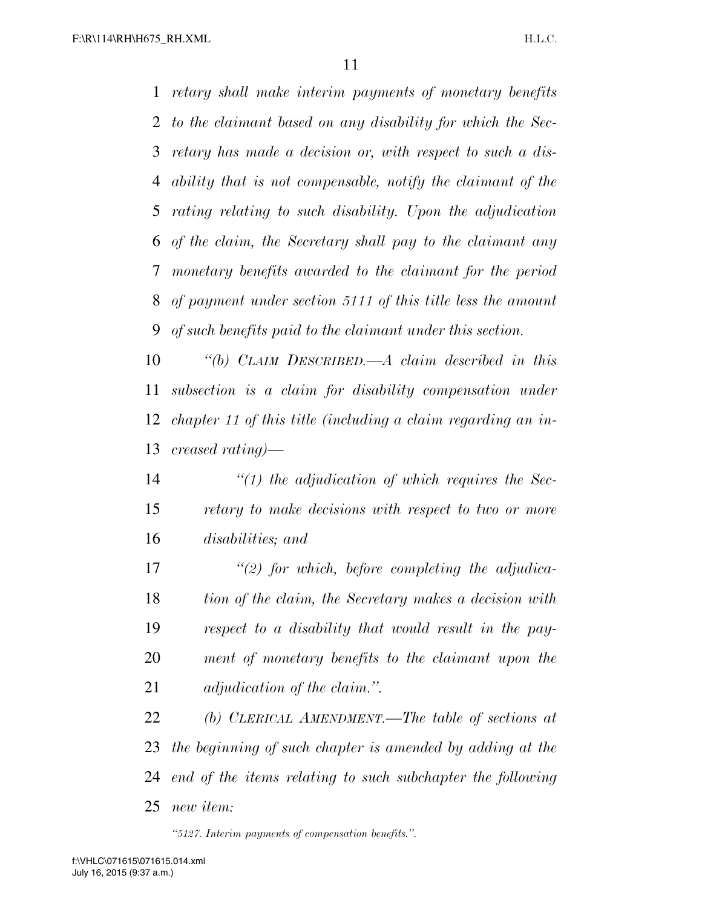*retary shall make interim payments of monetary benefits to the claimant based on any disability for which the Sec- retary has made a decision or, with respect to such a dis- ability that is not compensable, notify the claimant of the rating relating to such disability. Upon the adjudication of the claim, the Secretary shall pay to the claimant any monetary benefits awarded to the claimant for the period of payment under section 5111 of this title less the amount of such benefits paid to the claimant under this section.* 

 *''(b) CLAIM DESCRIBED.—A claim described in this subsection is a claim for disability compensation under chapter 11 of this title (including a claim regarding an in-creased rating)—* 

 *''(1) the adjudication of which requires the Sec- retary to make decisions with respect to two or more disabilities; and* 

 *''(2) for which, before completing the adjudica- tion of the claim, the Secretary makes a decision with respect to a disability that would result in the pay- ment of monetary benefits to the claimant upon the adjudication of the claim.''.* 

 *(b) CLERICAL AMENDMENT.—The table of sections at the beginning of such chapter is amended by adding at the end of the items relating to such subchapter the following new item:* 

*''5127. Interim payments of compensation benefits.''.*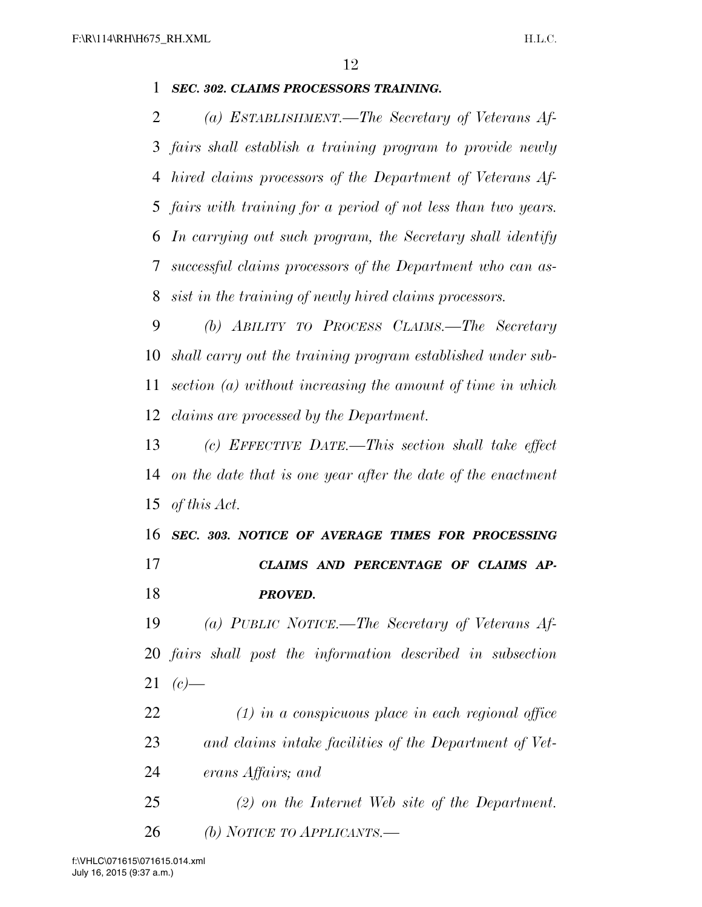### *SEC. 302. CLAIMS PROCESSORS TRAINING.*

 *(a) ESTABLISHMENT.—The Secretary of Veterans Af- fairs shall establish a training program to provide newly hired claims processors of the Department of Veterans Af- fairs with training for a period of not less than two years. In carrying out such program, the Secretary shall identify successful claims processors of the Department who can as-sist in the training of newly hired claims processors.* 

 *(b) ABILITY TO PROCESS CLAIMS.—The Secretary shall carry out the training program established under sub- section (a) without increasing the amount of time in which claims are processed by the Department.* 

 *(c) EFFECTIVE DATE.—This section shall take effect on the date that is one year after the date of the enactment of this Act.* 

 *SEC. 303. NOTICE OF AVERAGE TIMES FOR PROCESSING CLAIMS AND PERCENTAGE OF CLAIMS AP-PROVED.* 

 *(a) PUBLIC NOTICE.—The Secretary of Veterans Af- fairs shall post the information described in subsection (c)*—

 *(1) in a conspicuous place in each regional office and claims intake facilities of the Department of Vet-erans Affairs; and* 

 *(2) on the Internet Web site of the Department. (b) NOTICE TO APPLICANTS.—* 

July 16, 2015 (9:37 a.m.) f:\VHLC\071615\071615.014.xml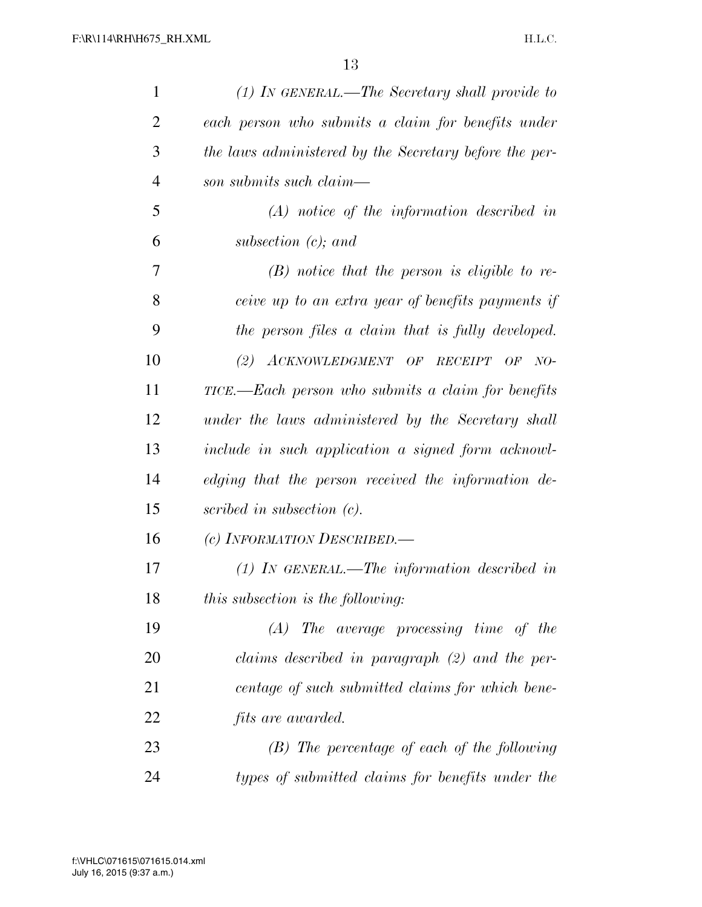| $\mathbf{1}$   | $(1)$ In GENERAL.—The Secretary shall provide to       |
|----------------|--------------------------------------------------------|
| 2              | each person who submits a claim for benefits under     |
| 3              | the laws administered by the Secretary before the per- |
| $\overline{4}$ | son submits such claim—                                |
| 5              | $(A)$ notice of the information described in           |
| 6              | subsection $(c)$ ; and                                 |
| 7              | $(B)$ notice that the person is eligible to re-        |
| 8              | ceive up to an extra year of benefits payments if      |
| 9              | the person files a claim that is fully developed.      |
| 10             | (2) $ACKNOWLEDGMENT$ OF RECEIPT OF NO-                 |
| 11             | TICE.—Each person who submits a claim for benefits     |
| 12             | under the laws administered by the Secretary shall     |
| 13             | include in such application a signed form acknowl-     |
| 14             | edging that the person received the information de-    |
| 15             | scribed in subsection $(c)$ .                          |
| 16             | (c) INFORMATION DESCRIBED.                             |
| 17             | $(1)$ IN GENERAL.—The information described in         |
| 18             | this subsection is the following:                      |
| 19             | $(A)$ The average processing time of the               |
| 20             | claims described in paragraph (2) and the per-         |
| 21             | centage of such submitted claims for which bene-       |
| 22             | <i>fits are awarded.</i>                               |
| 23             | $(B)$ The percentage of each of the following          |
| 24             | types of submitted claims for benefits under the       |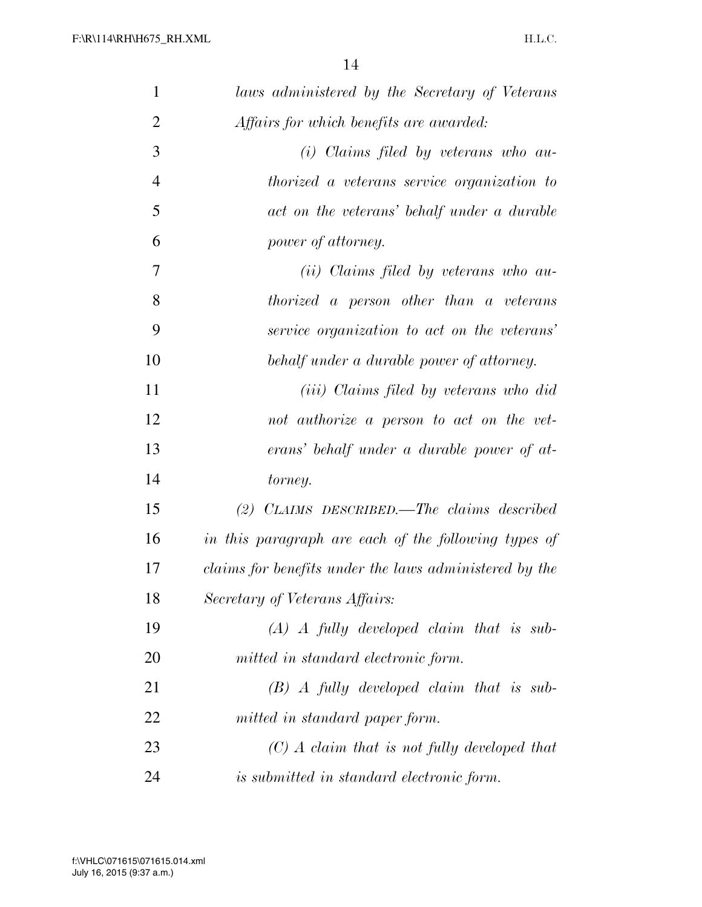| $\mathbf{1}$   | laws administered by the Secretary of Veterans         |
|----------------|--------------------------------------------------------|
| $\overline{2}$ | Affairs for which benefits are awarded:                |
| 3              | $(i)$ Claims filed by veterans who au-                 |
| $\overline{4}$ | <i>thorized a veterans service organization to</i>     |
| 5              | act on the veterans' behalf under a durable            |
| 6              | power of attorney.                                     |
| 7              | ( <i>ii</i> ) Claims filed by veterans who au-         |
| 8              | thorized a person other than a veterans                |
| 9              | service organization to act on the veterans'           |
| 10             | behalf under a durable power of attorney.              |
| 11             | (iii) Claims filed by veterans who did                 |
| 12             | not authorize a person to act on the vet-              |
| 13             | erans' behalf under a durable power of at-             |
| 14             | torney.                                                |
| 15             | $(2)$ CLAIMS DESCRIBED.—The claims described           |
| 16             | in this paragraph are each of the following types of   |
| 17             | claims for benefits under the laws administered by the |
| 18             | Secretary of Veterans Affairs:                         |
| 19             | $(A)$ A fully developed claim that is sub-             |
| 20             | mitted in standard electronic form.                    |
| 21             | $(B)$ A fully developed claim that is sub-             |
| 22             | mitted in standard paper form.                         |
| 23             | $(C)$ A claim that is not fully developed that         |
| 24             | is submitted in standard electronic form.              |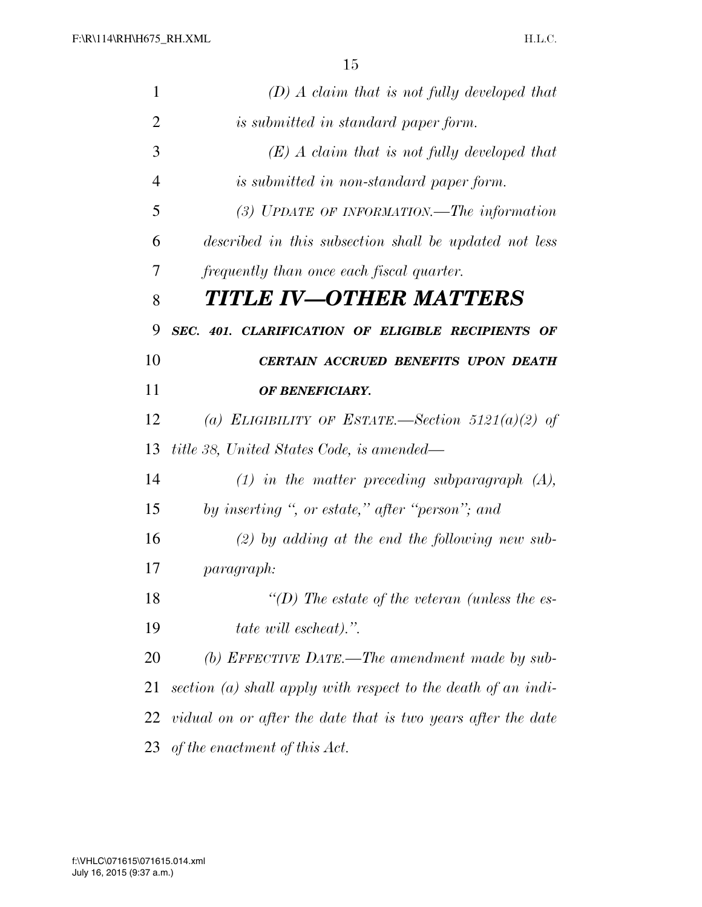| $\mathbf{1}$   | $(D)$ A claim that is not fully developed that                |
|----------------|---------------------------------------------------------------|
| $\overline{2}$ | is submitted in standard paper form.                          |
| 3              | $(E)$ A claim that is not fully developed that                |
| 4              | is submitted in non-standard paper form.                      |
| 5              | (3) UPDATE OF INFORMATION.—The information                    |
| 6              | described in this subsection shall be updated not less        |
| 7              | frequently than once each fiscal quarter.                     |
| 8              | TITLE IV—OTHER MATTERS                                        |
| 9              | SEC. 401. CLARIFICATION OF ELIGIBLE RECIPIENTS OF             |
| 10             | CERTAIN ACCRUED BENEFITS UPON DEATH                           |
| 11             | OF BENEFICIARY.                                               |
| 12             | (a) ELIGIBILITY OF ESTATE.—Section 5121(a)(2) of              |
| 13             | title 38, United States Code, is amended—                     |
| 14             | $(1)$ in the matter preceding subparagraph $(A)$ ,            |
| 15             | by inserting ", or estate," after "person"; and               |
| 16             | $(2)$ by adding at the end the following new sub-             |
| 17             | <i>paragraph:</i>                                             |
| 18             | "(D) The estate of the veteran (unless the es-                |
| 19             | tate will escheat).".                                         |
| 20             | (b) EFFECTIVE DATE.—The amendment made by sub-                |
| 21             | section (a) shall apply with respect to the death of an indi- |
| 22             | vidual on or after the date that is two years after the date  |
| 23             | of the enactment of this Act.                                 |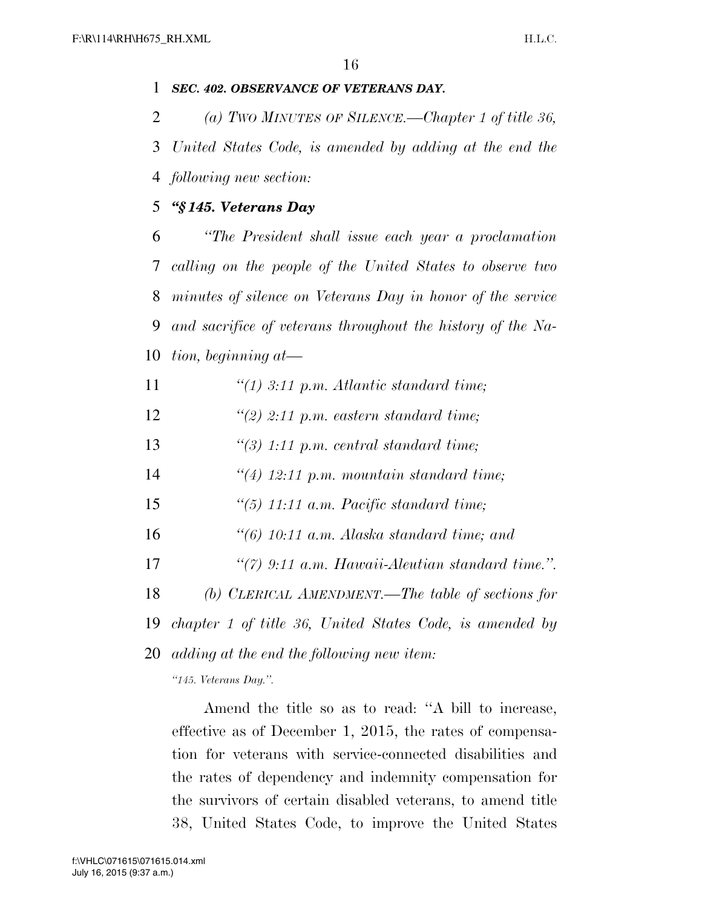### *SEC. 402. OBSERVANCE OF VETERANS DAY.*

 *(a) TWO MINUTES OF SILENCE.—Chapter 1 of title 36, United States Code, is amended by adding at the end the following new section:* 

### *''§ 145. Veterans Day*

 *''The President shall issue each year a proclamation calling on the people of the United States to observe two minutes of silence on Veterans Day in honor of the service and sacrifice of veterans throughout the history of the Na-tion, beginning at—* 

- *''(1) 3:11 p.m. Atlantic standard time;*
- *''(2) 2:11 p.m. eastern standard time;*
- *''(3) 1:11 p.m. central standard time;*
- *''(4) 12:11 p.m. mountain standard time;*
- *''(5) 11:11 a.m. Pacific standard time;*
- *''(6) 10:11 a.m. Alaska standard time; and*
- *''(7) 9:11 a.m. Hawaii-Aleutian standard time.''.*
- *(b) CLERICAL AMENDMENT.—The table of sections for*
- *chapter 1 of title 36, United States Code, is amended by*

*adding at the end the following new item:* 

*''145. Veterans Day.''.* 

Amend the title so as to read: ''A bill to increase, effective as of December 1, 2015, the rates of compensation for veterans with service-connected disabilities and the rates of dependency and indemnity compensation for the survivors of certain disabled veterans, to amend title 38, United States Code, to improve the United States